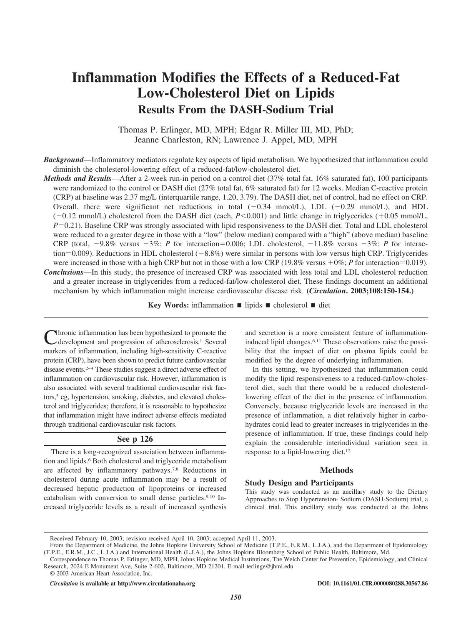# **Inflammation Modifies the Effects of a Reduced-Fat Low-Cholesterol Diet on Lipids Results From the DASH-Sodium Trial**

Thomas P. Erlinger, MD, MPH; Edgar R. Miller III, MD, PhD; Jeanne Charleston, RN; Lawrence J. Appel, MD, MPH

*Background*—Inflammatory mediators regulate key aspects of lipid metabolism. We hypothesized that inflammation could diminish the cholesterol-lowering effect of a reduced-fat/low-cholesterol diet.

*Methods and Results*—After a 2-week run-in period on a control diet (37% total fat, 16% saturated fat), 100 participants were randomized to the control or DASH diet (27% total fat, 6% saturated fat) for 12 weeks. Median C-reactive protein (CRP) at baseline was 2.37 mg/L (interquartile range, 1.20, 3.79). The DASH diet, net of control, had no effect on CRP. Overall, there were significant net reductions in total  $(-0.34 \text{ mmol/L})$ , LDL  $(-0.29 \text{ mmol/L})$ , and HDL (-0.12 mmol/L) cholesterol from the DASH diet (each, *P*<0.001) and little change in triglycerides (+0.05 mmol/L, *P*=0.21). Baseline CRP was strongly associated with lipid responsiveness to the DASH diet. Total and LDL cholesterol were reduced to a greater degree in those with a "low" (below median) compared with a "high" (above median) baseline CRP (total,  $-9.8\%$  versus  $-3\%$ ; *P* for interaction=0.006; LDL cholesterol,  $-11.8\%$  versus  $-3\%$ ; *P* for interaction=0.009). Reductions in HDL cholesterol ( $-8.8\%$ ) were similar in persons with low versus high CRP. Triglycerides were increased in those with a high CRP but not in those with a low CRP (19.8% versus  $+0\%$ ; *P* for interaction=0.019). *Conclusions*—In this study, the presence of increased CRP was associated with less total and LDL cholesterol reduction

and a greater increase in triglycerides from a reduced-fat/low-cholesterol diet. These findings document an additional mechanism by which inflammation might increase cardiovascular disease risk. **(***Circulation***. 2003;108:150-154.)**

**Key Words:** inflammation  $\blacksquare$  lipids  $\blacksquare$  cholesterol  $\blacksquare$  diet

Chronic inflammation has been hypothesized to promote the development and progression of atherosclerosis.<sup>1</sup> Several markers of inflammation, including high-sensitivity C-reactive protein (CRP), have been shown to predict future cardiovascular disease events.<sup>2-4</sup> These studies suggest a direct adverse effect of inflammation on cardiovascular risk. However, inflammation is also associated with several traditional cardiovascular risk factors,<sup>5</sup> eg, hypertension, smoking, diabetes, and elevated cholesterol and triglycerides; therefore, it is reasonable to hypothesize that inflammation might have indirect adverse effects mediated through traditional cardiovascular risk factors.

## **See p 126**

There is a long-recognized association between inflammation and lipids.6 Both cholesterol and triglyceride metabolism are affected by inflammatory pathways.7,8 Reductions in cholesterol during acute inflammation may be a result of decreased hepatic production of lipoproteins or increased catabolism with conversion to small dense particles.<sup>9,10</sup> Increased triglyceride levels as a result of increased synthesis and secretion is a more consistent feature of inflammationinduced lipid changes.6,11 These observations raise the possibility that the impact of diet on plasma lipids could be modified by the degree of underlying inflammation.

In this setting, we hypothesized that inflammation could modify the lipid responsiveness to a reduced-fat/low-cholesterol diet, such that there would be a reduced cholesterollowering effect of the diet in the presence of inflammation. Conversely, because triglyceride levels are increased in the presence of inflammation, a diet relatively higher in carbohydrates could lead to greater increases in triglycerides in the presence of inflammation. If true, these findings could help explain the considerable interindividual variation seen in response to a lipid-lowering diet.12

## **Methods**

## **Study Design and Participants**

This study was conducted as an ancillary study to the Dietary Approaches to Stop Hypertension- Sodium (DASH-Sodium) trial, a clinical trial. This ancillary study was conducted at the Johns

Received February 10, 2003; revision received April 10, 2003; accepted April 11, 2003.

From the Department of Medicine, the Johns Hopkins University School of Medicine (T.P.E., E.R.M., L.J.A.), and the Department of Epidemiology (T.P.E., E.R.M., J.C., L.J.A.) and International Health (L.J.A.), the Johns Hopkins Bloomberg School of Public Health, Baltimore, Md.

Correspondence to Thomas P. Erlinger, MD, MPH, Johns Hopkins Medical Institutions, The Welch Center for Prevention, Epidemiology, and Clinical Research, 2024 E Monument Ave, Suite 2-602, Baltimore, MD 21201. E-mail terlinge@jhmi.edu

<sup>© 2003</sup> American Heart Association, Inc.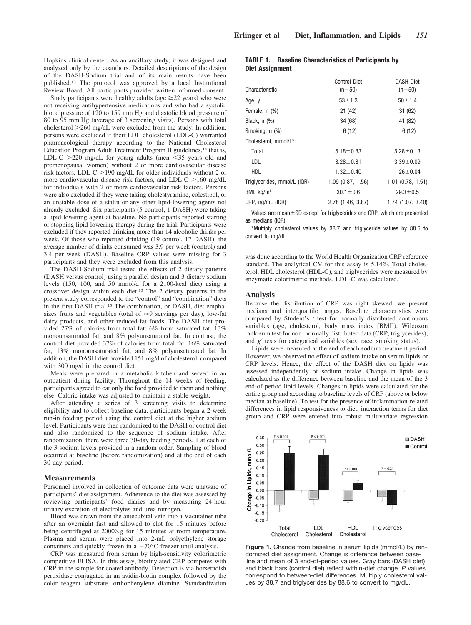Hopkins clinical center. As an ancillary study, it was designed and analyzed only by the coauthors. Detailed descriptions of the design of the DASH-Sodium trial and of its main results have been published.13 The protocol was approved by a local Institutional Review Board. All participants provided written informed consent.

Study participants were healthy adults (age  $\geq$  22 years) who were not receiving antihypertensive medications and who had a systolic blood pressure of 120 to 159 mm Hg and diastolic blood pressure of 80 to 95 mm Hg (average of 3 screening visits). Persons with total cholesterol  $>$ 260 mg/dL were excluded from the study. In addition, persons were excluded if their LDL cholesterol (LDL-C) warranted pharmacological therapy according to the National Cholesterol Education Program Adult Treatment Program II guidelines,<sup>14</sup> that is, LDL-C  $>$  220 mg/dL for young adults (men  $<$  35 years old and premenopausal women) without 2 or more cardiovascular disease risk factors, LDL-C  $>$  190 mg/dL for older individuals without 2 or more cardiovascular disease risk factors, and LDL-C  $>$ 160 mg/dL for individuals with 2 or more cardiovascular risk factors. Persons were also excluded if they were taking cholestyramine, colestipol, or an unstable dose of a statin or any other lipid-lowering agents not already excluded. Six participants (5 control, 1 DASH) were taking a lipid-lowering agent at baseline. No participants reported starting or stopping lipid-lowering therapy during the trial. Participants were excluded if they reported drinking more than 14 alcoholic drinks per week. Of those who reported drinking (19 control, 17 DASH), the average number of drinks consumed was 3.9 per week (control) and 3.4 per week (DASH). Baseline CRP values were missing for 3 participants and they were excluded from this analysis.

The DASH-Sodium trial tested the effects of 2 dietary patterns (DASH versus control) using a parallel design and 3 dietary sodium levels (150, 100, and 50 mmol/d for a 2100-kcal diet) using a crossover design within each diet.13 The 2 dietary patterns in the present study corresponded to the "control" and "combination" diets in the first DASH trial.15 The combination, or DASH, diet emphasizes fruits and vegetables (total of  $\approx$ 9 servings per day), low-fat dairy products, and other reduced-fat foods. The DASH diet provided 27% of calories from total fat: 6% from saturated fat, 13% monounsaturated fat, and 8% polyunsaturated fat. In contrast, the control diet provided 37% of calories from total fat: 16% saturated fat, 13% monounsaturated fat, and 8% polyunsaturated fat. In addition, the DASH diet provided 151 mg/d of cholesterol, compared with 300 mg/d in the control diet.

Meals were prepared in a metabolic kitchen and served in an outpatient dining facility. Throughout the 14 weeks of feeding, participants agreed to eat only the food provided to them and nothing else. Caloric intake was adjusted to maintain a stable weight.

After attending a series of 3 screening visits to determine eligibility and to collect baseline data, participants began a 2-week run-in feeding period using the control diet at the higher sodium level. Participants were then randomized to the DASH or control diet and also randomized to the sequence of sodium intake. After randomization, there were three 30-day feeding periods, 1 at each of the 3 sodium levels provided in a random order. Sampling of blood occurred at baseline (before randomization) and at the end of each 30-day period.

#### **Measurements**

Personnel involved in collection of outcome data were unaware of participants' diet assignment. Adherence to the diet was assessed by reviewing participants' food diaries and by measuring 24-hour urinary excretion of electrolytes and urea nitrogen.

Blood was drawn from the antecubital vein into a Vacutainer tube after an overnight fast and allowed to clot for 15 minutes before being centrifuged at  $2000 \times g$  for 15 minutes at room temperature. Plasma and serum were placed into 2-mL polyethylene storage containers and quickly frozen in a  $-70^{\circ}$ C freezer until analysis.

CRP was measured from serum by high-sensitivity colorimetric competitive ELISA. In this assay, biotinylated CRP competes with CRP in the sample for coated antibody. Detection is via horseradish peroxidase conjugated in an avidin-biotin complex followed by the color reagent substrate, orthophenylene diamine. Standardization

## **TABLE 1. Baseline Characteristics of Participants by Diet Assignment**

| Characteristic              | Control Diet<br>$(n=50)$ | <b>DASH Diet</b><br>$(n=50)$<br>$50 + 1.4$ |  |  |
|-----------------------------|--------------------------|--------------------------------------------|--|--|
| Age, y                      | $53 + 1.3$               |                                            |  |  |
| Female, n (%)               | 21(42)                   | 31(62)                                     |  |  |
| Black, n (%)                | 34 (68)                  | 41 (82)                                    |  |  |
| Smoking, n (%)              | 6(12)                    | 6(12)                                      |  |  |
| Cholesterol, mmol/L*        |                          |                                            |  |  |
| Total                       | $5.18 \pm 0.83$          | $5.28 \pm 0.13$                            |  |  |
| LDL                         | $3.28 \pm 0.81$          | $3.39 \pm 0.09$                            |  |  |
| <b>HDL</b>                  | $1.32 \pm 0.40$          | $1.26 \pm 0.04$                            |  |  |
| Triglycerides, mmol/L (IQR) | 1.09(0.87, 1.56)         | $1.01$ (0.78, 1.51)                        |  |  |
| BMI, kg/m <sup>2</sup>      | $30.1 \pm 0.6$           | $29.3 \pm 0.5$                             |  |  |
| CRP, ng/mL (IQR)            | 2.78 (1.46, 3.87)        | $1.74$ $(1.07, 3.40)$                      |  |  |

Values are mean $\pm$ SD except for triglycerides and CRP, which are presented as medians (IQR).

\*Multiply cholesterol values by 38.7 and triglyceride values by 88.6 to convert to mg/dL.

was done according to the World Health Organization CRP reference standard. The analytical CV for this assay is 5.14%. Total cholesterol, HDL cholesterol (HDL-C), and triglycerides were measured by enzymatic colorimetric methods. LDL-C was calculated.

#### **Analysis**

Because the distribution of CRP was right skewed, we present medians and interquartile ranges. Baseline characteristics were compared by Student's *t* test for normally distributed continuous variables (age, cholesterol, body mass index [BMI]), Wilcoxon rank-sum test for non–normally distributed data (CRP, triglycerides), and  $\chi^2$  tests for categorical variables (sex, race, smoking status).

Lipids were measured at the end of each sodium treatment period. However, we observed no effect of sodium intake on serum lipids or CRP levels. Hence, the effect of the DASH diet on lipids was assessed independently of sodium intake. Change in lipids was calculated as the difference between baseline and the mean of the 3 end-of-period lipid levels. Changes in lipids were calculated for the entire group and according to baseline levels of CRP (above or below median at baseline). To test for the presence of inflammation-related differences in lipid responsiveness to diet, interaction terms for diet group and CRP were entered into robust multivariate regression



**Figure 1.** Change from baseline in serum lipids (mmol/L) by randomized diet assignment. Change is difference between baseline and mean of 3 end-of-period values. Gray bars (DASH diet) and black bars (control diet) reflect within-diet change. *P* values correspond to between-diet differences. Multiply cholesterol values by 38.7 and triglycerides by 88.6 to convert to mg/dL.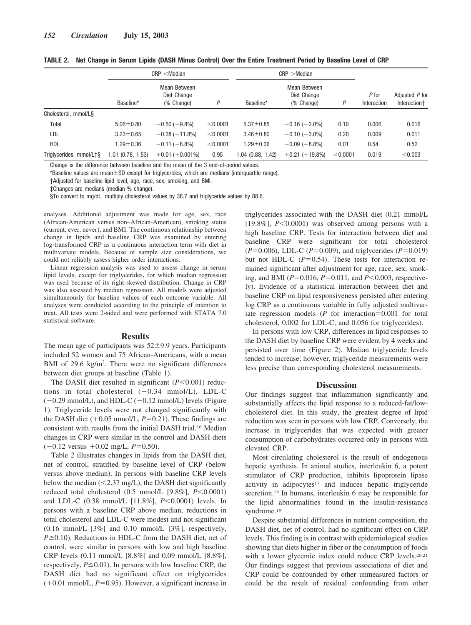|                         | $CRP <$ Median       |                                           |          | CRP > Median          |                                           |          |                      |                                |
|-------------------------|----------------------|-------------------------------------------|----------|-----------------------|-------------------------------------------|----------|----------------------|--------------------------------|
|                         | Baseline*            | Mean Between<br>Diet Change<br>(% Change) | P        | Baseline*             | Mean Between<br>Diet Change<br>(% Change) | P        | P for<br>Interaction | Adjusted P for<br>Interaction+ |
| Cholesterol, mmol/L§    |                      |                                           |          |                       |                                           |          |                      |                                |
| Total                   | $5.06 \pm 0.80$      | $-0.50$ ( $-9.8\%$ )                      | < 0.0001 | $5.37 \pm 0.85$       | $-0.16$ ( $-3.0\%$ )                      | 0.10     | 0.006                | 0.016                          |
| LDL                     | $3.23 \pm 0.65$      | $-0.38(-11.8%)$                           | < 0.0001 | $3.46 \pm 0.80$       | $-0.10$ ( $-3.0\%$ )                      | 0.20     | 0.009                | 0.011                          |
| <b>HDL</b>              | $1.29 \pm 0.36$      | $-0.11(-8.8%)$                            | < 0.0001 | $1.29\pm0.36$         | $-0.09$ (-8.8%)                           | 0.01     | 0.54                 | 0.52                           |
| Triglycerides, mmol/L‡§ | (0.78, 1.53)<br>1.01 | $+0.01 (+0.001\%)$                        | 0.95     | $1.04$ $(0.88, 1.42)$ | $+0.21 (+19.8\%)$                         | < 0.0001 | 0.019                | < 0.003                        |

**TABLE 2. Net Change in Serum Lipids (DASH Minus Control) Over the Entire Treatment Period by Baseline Level of CRP**

Change is the difference between baseline and the mean of the 3 end-of-period values.

\*Baseline values are mean $\pm$ SD except for triglycerides, which are medians (interquartile range).

†Adjusted for baseline lipid level, age, race, sex, smoking, and BMI.

‡Changes are medians (median % change).

§To convert to mg/dL, multiply cholesterol values by 38.7 and triglyceride values by 88.6.

analyses. Additional adjustment was made for age, sex, race (African-American versus non–African-American), smoking status (current, ever, never), and BMI. The continuous relationship between change in lipids and baseline CRP was examined by entering log-transformed CRP as a continuous interaction term with diet in multivariate models. Because of sample size considerations, we could not reliably assess higher order interactions.

Linear regression analysis was used to assess change in serum lipid levels, except for triglycerides, for which median regression was used because of its right-skewed distribution. Change in CRP was also assessed by median regression. All models were adjusted simultaneously for baseline values of each outcome variable. All analyses were conducted according to the principle of intention to treat. All tests were 2-sided and were performed with STATA 7.0 statistical software.

#### **Results**

The mean age of participants was  $52\pm9.9$  years. Participants included 52 women and 75 African-Americans, with a mean BMI of  $29.6 \text{ kg/m}^2$ . There were no significant differences between diet groups at baseline (Table 1).

The DASH diet resulted in significant  $(P<0.001)$  reductions in total cholesterol  $(-0.34 \text{ mmol/L})$ , LDL-C  $(-0.29 \text{ mmol/L})$ , and HDL-C  $(-0.12 \text{ mmol/L})$  levels (Figure 1). Triglyceride levels were not changed significantly with the DASH diet  $(+0.05 \text{ mmol/L}, P=0.21)$ . These findings are consistent with results from the initial DASH trial.16 Median changes in CRP were similar in the control and DASH diets  $(-0.12 \text{ versus } +0.02 \text{ mg/L}, P=0.50).$ 

Table 2 illustrates changes in lipids from the DASH diet, net of control, stratified by baseline level of CRP (below versus above median). In persons with baseline CRP levels below the median  $(< 2.37$  mg/L), the DASH diet significantly reduced total cholesterol (0.5 mmol/L [9.8%], *P*-0.0001) and LDL-C (0.38 mmol/L [11.8%], *P*-0.0001) levels. In persons with a baseline CRP above median, reductions in total cholesterol and LDL-C were modest and not significant  $(0.16 \text{ mmol/L } [3\%]$  and  $(0.10 \text{ mmol/L } [3\%]$ , respectively,  $P \ge 0.10$ ). Reductions in HDL-C from the DASH diet, net of control, were similar in persons with low and high baseline CRP levels (0.11 mmol/L [8.8%] and 0.09 mmol/L [8.8%], respectively,  $P \le 0.01$ ). In persons with low baseline CRP, the DASH diet had no significant effect on triglycerides  $(+0.01 \text{ mmol/L}, P=0.95)$ . However, a significant increase in triglycerides associated with the DASH diet (0.21 mmol/L  $[19.8\%]$ ,  $P<0.0001$ ) was observed among persons with a high baseline CRP. Tests for interaction between diet and baseline CRP were significant for total cholesterol  $(P=0.006)$ , LDL-C  $(P=0.009)$ , and triglycerides  $(P=0.019)$ but not HDL-C  $(P=0.54)$ . These tests for interaction remained significant after adjustment for age, race, sex, smoking, and BMI ( $P = 0.016$ ,  $P = 0.011$ , and  $P < 0.003$ , respectively). Evidence of a statistical interaction between diet and baseline CRP on lipid responsiveness persisted after entering log CRP as a continuous variable in fully adjusted multivariate regression models  $(P \text{ for interaction}=0.001 \text{ for total})$ cholesterol, 0.002 for LDL-C, and 0.056 for triglycerides).

In persons with low CRP, differences in lipid responses to the DASH diet by baseline CRP were evident by 4 weeks and persisted over time (Figure 2). Median triglyceride levels tended to increase; however, triglyceride measurements were less precise than corresponding cholesterol measurements.

#### **Discussion**

Our findings suggest that inflammation significantly and substantially affects the lipid response to a reduced-fat/lowcholesterol diet. In this study, the greatest degree of lipid reduction was seen in persons with low CRP. Conversely, the increase in triglycerides that was expected with greater consumption of carbohydrates occurred only in persons with elevated CRP.

Most circulating cholesterol is the result of endogenous hepatic synthesis. In animal studies, interleukin 6, a potent stimulator of CRP production, inhibits lipoprotein lipase activity in adipocytes<sup>17</sup> and induces hepatic triglyceride secretion.18 In humans, interleukin 6 may be responsible for the lipid abnormalities found in the insulin-resistance syndrome.19

Despite substantial differences in nutrient composition, the DASH diet, net of control, had no significant effect on CRP levels. This finding is in contrast with epidemiological studies showing that diets higher in fiber or the consumption of foods with a lower glycemic index could reduce CRP levels.<sup>20,21</sup> Our findings suggest that previous associations of diet and CRP could be confounded by other unmeasured factors or could be the result of residual confounding from other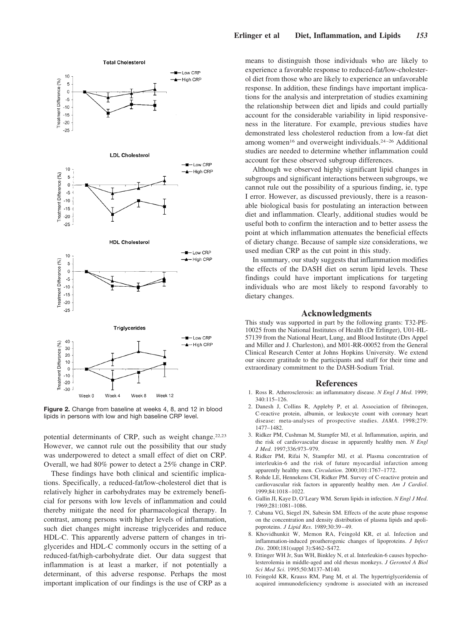

**Figure 2.** Change from baseline at weeks 4, 8, and 12 in blood lipids in persons with low and high baseline CRP level.

potential determinants of CRP, such as weight change.22,23 However, we cannot rule out the possibility that our study was underpowered to detect a small effect of diet on CRP. Overall, we had 80% power to detect a 25% change in CRP.

These findings have both clinical and scientific implications. Specifically, a reduced-fat/low-cholesterol diet that is relatively higher in carbohydrates may be extremely beneficial for persons with low levels of inflammation and could thereby mitigate the need for pharmacological therapy. In contrast, among persons with higher levels of inflammation, such diet changes might increase triglycerides and reduce HDL-C. This apparently adverse pattern of changes in triglycerides and HDL-C commonly occurs in the setting of a reduced-fat/high-carbohydrate diet. Our data suggest that inflammation is at least a marker, if not potentially a determinant, of this adverse response. Perhaps the most important implication of our findings is the use of CRP as a means to distinguish those individuals who are likely to experience a favorable response to reduced-fat/low-cholesterol diet from those who are likely to experience an unfavorable response. In addition, these findings have important implications for the analysis and interpretation of studies examining the relationship between diet and lipids and could partially account for the considerable variability in lipid responsiveness in the literature. For example, previous studies have demonstrated less cholesterol reduction from a low-fat diet among women<sup>16</sup> and overweight individuals.<sup>24-26</sup> Additional studies are needed to determine whether inflammation could account for these observed subgroup differences.

Although we observed highly significant lipid changes in subgroups and significant interactions between subgroups, we cannot rule out the possibility of a spurious finding, ie, type I error. However, as discussed previously, there is a reasonable biological basis for postulating an interaction between diet and inflammation. Clearly, additional studies would be useful both to confirm the interaction and to better assess the point at which inflammation attenuates the beneficial effects of dietary change. Because of sample size considerations, we used median CRP as the cut point in this study.

In summary, our study suggests that inflammation modifies the effects of the DASH diet on serum lipid levels. These findings could have important implications for targeting individuals who are most likely to respond favorably to dietary changes.

#### **Acknowledgments**

This study was supported in part by the following grants: T32-PE-10025 from the National Institutes of Health (Dr Erlinger), U01-HL-57139 from the National Heart, Lung, and Blood Institute (Drs Appel and Miller and J. Charleston), and M01-RR-00052 from the General Clinical Research Center at Johns Hopkins University. We extend our sincere gratitude to the participants and staff for their time and extraordinary commitment to the DASH-Sodium Trial.

## **References**

- 1. Ross R. Atherosclerosis: an inflammatory disease. *N Engl J Med*. 1999; 340:115–126.
- 2. Danesh J, Collins R, Appleby P, et al. Association of fibrinogen, C-reactive protein, albumin, or leukocyte count with coronary heart disease: meta-analyses of prospective studies. *JAMA*. 1998;279: 1477–1482.
- 3. Ridker PM, Cushman M, Stampfer MJ, et al. Inflammation, aspirin, and the risk of cardiovascular disease in apparently healthy men. *N Engl J Med*. 1997;336:973–979.
- 4. Ridker PM, Rifai N, Stampfer MJ, et al. Plasma concentration of interleukin-6 and the risk of future myocardial infarction among apparently healthy men. *Circulation*. 2000;101:1767–1772.
- 5. Rohde LE, Hennekens CH, Ridker PM. Survey of C-reactive protein and cardiovascular risk factors in apparently healthy men. *Am J Cardiol*. 1999;84:1018 –1022.
- 6. Gallin JI, Kaye D, O'Leary WM. Serum lipids in infection. *N Engl J Med*. 1969;281:1081–1086.
- 7. Cabana VG, Siegel JN, Sabesin SM. Effects of the acute phase response on the concentration and density distribution of plasma lipids and apolipoproteins. *J Lipid Res*. 1989;30:39 – 49.
- 8. Khovidhunkit W, Memon RA, Feingold KR, et al. Infection and inflammation-induced proatherogenic changes of lipoproteins. *J Infect Dis*. 2000;181(suppl 3):S462–S472.
- 9. Ettinger WH Jr, Sun WH, Binkley N, et al. Interleukin-6 causes hypocholesterolemia in middle-aged and old rhesus monkeys. *J Gerontol A Biol Sci Med Sci*. 1995;50:M137–M140.
- 10. Feingold KR, Krauss RM, Pang M, et al. The hypertriglyceridemia of acquired immunodeficiency syndrome is associated with an increased